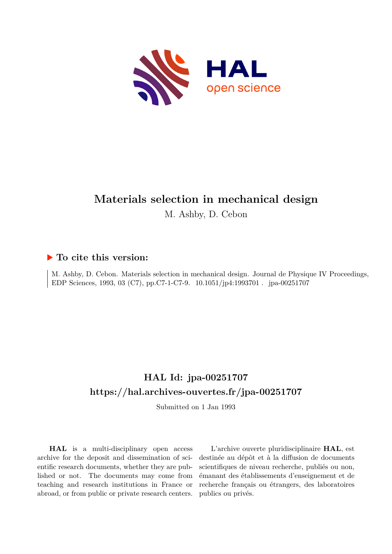

# **Materials selection in mechanical design**

M. Ashby, D. Cebon

# **To cite this version:**

M. Ashby, D. Cebon. Materials selection in mechanical design. Journal de Physique IV Proceedings, EDP Sciences, 1993, 03 (C7), pp.C7-1-C7-9. 10.1051/jp4:1993701. jpa-00251707

# **HAL Id: jpa-00251707 <https://hal.archives-ouvertes.fr/jpa-00251707>**

Submitted on 1 Jan 1993

**HAL** is a multi-disciplinary open access archive for the deposit and dissemination of scientific research documents, whether they are published or not. The documents may come from teaching and research institutions in France or abroad, or from public or private research centers.

L'archive ouverte pluridisciplinaire **HAL**, est destinée au dépôt et à la diffusion de documents scientifiques de niveau recherche, publiés ou non, émanant des établissements d'enseignement et de recherche français ou étrangers, des laboratoires publics ou privés.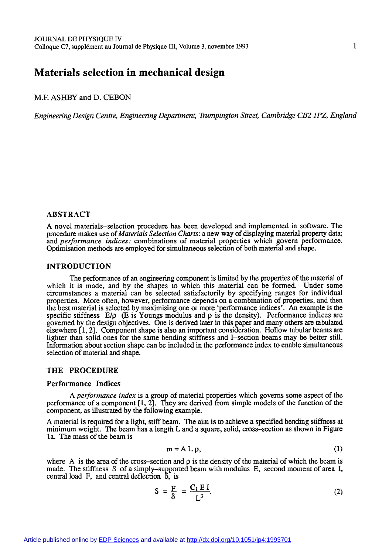# **Materials selection in mechanical design**

### M.F. **ASHBY** and D. CEBON

*Engineering Design Centre, Engineering Department, Tmmpington Street, Cambridge CB2 IPZ, England* 

## **ABSTRACT**

A novel materials-selection procedure has been developed and implemented in software. The procedure makes use of *Materials Selection Charts:* a new way of displaying material property data; and *performance indices:* combinations of material properties which govern performance. Optimisation methods are employed for simultaneous selection of both material and shape.

#### **INTRODUCTION**

The performance of an engineering component is limited by the properties of the material of which it is made, and by the shapes to which this material can be formed. Under some circumstances a material can be selected satisfactorily by specifying ranges for individual properties. More often, however, performance depends on a combination of properties, and then the best material is selected by maximising one or more 'performance indices'. An example is the specific stiffness  $E/\rho$  (E is Youngs modulus and  $\rho$  is the density). Performance indices are governed by the design objectives. One is derived later in this paper and many others are tabulated elsewhere [I, **21.** Component shape is also an important consideration. Hollow tubular beams are lighter than solid ones for the same bending stiffness and I-section beams may be better still. Information about section shape can be included in the performance index to enable simultaneous selection of material and shape.

# **THE PROCEDURE**

#### **Performance Indices**

*A performance index* is a group of material properties which governs some aspect of the performance of a component [I, **21.** They are derived from simple models of the function of the component, as illustrated by the following example.

A material is required for **a** light, stiff beam. The aim is to achieve a specified bending stiffness at minimum weight. The beam has a length L and a square, solid, cross-section as shown in Figure la. The mass of the beam is

$$
m = A L \rho, \tag{1}
$$

where A is the area of the cross-section and  $\rho$  is the density of the material of which the beam is made. The stiffness S of a simply-supported beam with modulus E, second moment of area I, where A is the area of the cross-section and made. The stiffness S of a simply-support central load F, and central deflection  $\delta$ , is

$$
S = \frac{F}{\delta} = \frac{C_1 EI}{L^3}.
$$
 (2)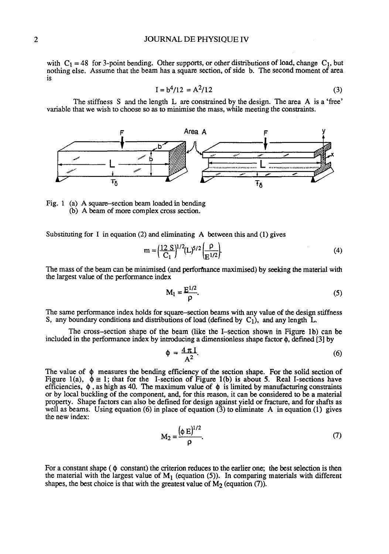with  $C_1 = 48$  for 3-point bending. Other supports, or other distributions of load, change  $C_1$ , but nothing else. Assume that the beam has a square section, of side b. The second moment of area is

$$
I = b4/12 = A2/12
$$
 (3)

The stiffness S and the length L are constrained by the design. The area A is a 'free' variable that we wish to choose so as to minimise the mass, while meeting the constraints.





Substituting for I in equation (2) and eliminating A between this and (1) gives

$$
m = \left(\frac{12 \text{ S}}{C_1}\right)^{1/2} (L)^{5/2} \left(\frac{\rho}{E^{1/2}}\right).
$$
 (4)

The mass of the beam can be minimised (and perforhance maximised) by seeking the material with the largest value of the performance index

$$
M_1 = \frac{E^{1/2}}{\rho}.\tag{5}
$$

The same performance index holds for square-section beams with any value of the design stiffness S, any boundary conditions and distributions of load (defined by **Cl),** and any length L.

The cross-section shape of the beam (like the I-section shown in Figure lb) can be included in the performance index by introducing a dimensionless shape factor  $\phi$ , defined [3] by

$$
\phi = \frac{4\pi I}{A^2}.\tag{6}
$$

The value of  $\phi$  measures the bending efficiency of the section shape. For the solid section of Figure 1(a),  $\phi \equiv 1$ ; that for the I-section of Figure 1(b) is about 5. Real I-sections have efficiencies,  $\phi$ , as high as 40. The maximum value of  $\phi$  is limited by manufacturing constraints or by local buckling of the component, and, for this reason, it can be considered to be a material propeny. Shape factors can also be defined for design against yield or fracture, and for shafts as well as beams. Using equation (6) in place of equation (3) to eliminate A in equation (1) gives the new index:

$$
M_2 = \frac{\left(\phi E\right)^{1/2}}{\rho}.\tag{7}
$$

For a constant shape ( $\phi$  constant) the criterion reduces to the earlier one; the best selection is then the material with the largest value of  $M_1$  (equation (5)). In comparing materials with different shapes, the best choice is that with the greatest value of  $M<sub>2</sub>$  (equation (7)).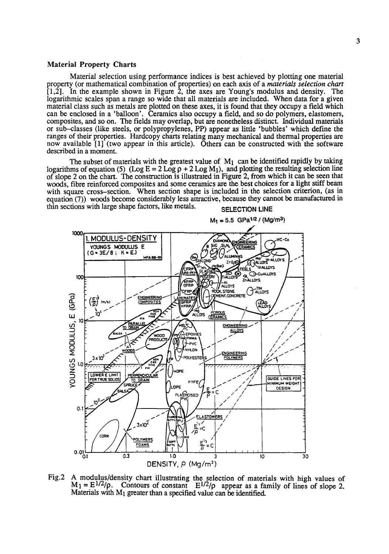#### Material Property Charts

Material selection using performance indices is best achieved by plotting one material property (or mathematical combination of properties) on each axis of a *materials selection chart*   $[1,2]$ . In the example shown in Figure 2, the axes are Young's modulus and density. The logarithmic scales span a range so wide that all materials are included. When data for a given material class such as metals are plotted on these axes, it is found that they occupy a field which can be enclosed in a 'balloon'. Ceramics also occupy a field, and so do polymers, elastomers, composites, and so on. The fields may overlap, but are nonetheless distinct. Individual materials or sub-classes (like steels, or polypropylenes, PP) appear as little 'bubbles' which define the ranges of their properties. Hardcopy charts relating many mechanical and thermal properties are now available [l] (two appear in this article). Others can be constructed with the software described in a moment.

The subset of materials with the greatest value of  $M_1$  can be identified rapidly by taking logarithms of equation (5)  $(Log E = 2 Log p + 2 Log M_1)$ , and plotting the resulting selection line of slope 2 on the chart. The construction is illustrated in Figure 2, from which it can be seen that woods, fibre reinforced composites and some ceramics are the best choices for a light stiff beam with square cross-section. When section shape is included in the selection criterion, (as in equation (7)) woods become considerably less attractive, because they cannot be manufactured in thin sections with large shape factors, like metals. **SELECTION LINE** 



Fig.2 A modulus/density chart illustrating the selection of materials with high values of  $M_1 = E^{1/2}/\rho$ . Contours of constant  $E^{1/2}/\rho$  appear as a family of lines of slope 2. Materials with  $M_1$  greater than a specified value can be identified.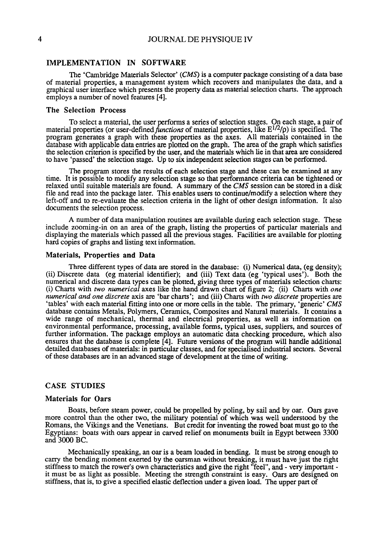# IMPLEMENTATION IN SOFTWARE

The 'Cambridge Materials Selector' (CMS) is a computer package consisting of a data base of material properties, a management system which recovers and manipulates the data, and a graphical user interface which presents the property **data** as material selection charts. The approach employs a number of novel features **[4].** 

#### The Selection Process

To select a material, the user performs a series of selection stages. On each stage, a pair of material properties (or user-defined  $\hat{f}$ unctions of material properties, like  $E^{1/2}$ /p) is specified. The program generates a graph with these properties as the axes. All materials contained in the database with applicable data entries are plotted on the graph. The area of the graph which satisfies the selection criterion is specified by the user, and the materials which lie in that area are considered to have 'passed' the selection stage. Up to six independent selection stages can be performed.

The program stores the results of each selection stage and these can be examined at any time. It is possible to modify any selection stage so that performance criteria can be tightened or relaxed until suitable materials are found. **A** summary of the CMS session can be stored in a disk file and read into the package later. This enables users to continue/modify a selection where they left-off and to re-evaluate the selection criteria in the light of other design information. It also documents the selection process.

**A** number of data manipulation routines **are** available during each selection stage. These include zooming-in on an area of the graph, listing the properties of particular materials and displaying the materials which passed all the previous stages. Facilities are available for plotting hard copies of graphs and listing text information.

#### Materials, Properties and Data

Three different types of data are stored in the database: (i) Numerical data, (eg density); (ii) Discrete data (eg material identifier); and (iii) Text data (eg 'typical uses'). Both the numerical and discrete data types can be plotted, giving three types of materials selection charts: (i) Charts with two numerical axes like the hand drawn chart of figure **2;** (ii) Charts with one numerical and one discrete axis are 'bar charts'; and (iii) Charts with **two** discrete properties are 'tables' with each material fitting into one or more cells in the table. The primary, 'generic' CMS database contains Metals, Polymers, Ceramics, Composites and Natural materials. It contains a wide range of mechanical, thermal and electrical properties, as well as information on environmental performance, processing, available forms, typical uses, suppliers, and sources of further information. The package employs an automatic data checking procedure, which also ensures that the database is complete **[4].** Future versions of the program will handle additional detailed databases of materials: in particular classes, and for specialised industrial sectors. Several of these databases are in an advanced stage of development at the time of writing.

# **CASE** STUDIES

#### Materials for Oars

Boats, before steam power, could be propelled by poling, by sail and by oar. Oars gave more control than the other two, the military potential of which was well understood by the Romans, the Vikings and the Venetians. But credit for inventing the rowed boat must go to the Egyptians: boats with oars appear in carved relief on monuments built in Egypt between 3300 and 3000 BC.

Mechanically speaking, an oar is a beam loaded in bending. It must be strong enough to carry the bending moment exerted by the oarsman without breaking, it must have just the right stiffness to match the rower's own characteristics and give the right "feel", and - very important it must be as light as possible. Meeting the strength constraint is easy. Oars are designed on stiffness, that is, to give a specified elastic deflection under a given load. The upper part of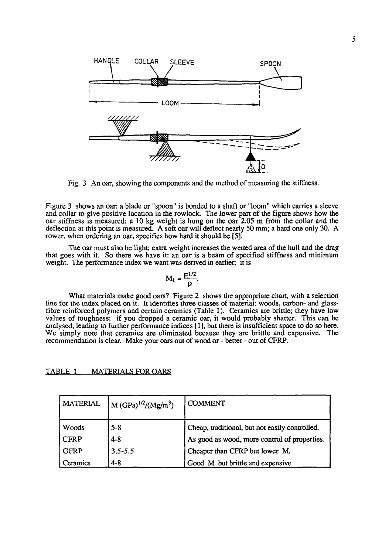

Fig. 3 An oar, showing the components and the method of measuring the stiffness.

Figure 3 shows an oar: a blade or "spoon" is bonded to a shaft or "loom" which carries a sleeve and collar to give positive location in the rowlock. The lower part of the figure shows how the oar stiffness is measured: a 10 kg weight is hung on the oar 2.05 m from the collar and the deflection at this point is measured. **A** soft oar will deflect nearly 50 mm; a hard one only 30. A rower, when ordering an oar, specifies how hard it should be **[5].** 

The oar must also be fight; extra weight increases the wetted area of the hull and the drag that goes with it. So there we have it: an oar is a beam of specified stiffness and minimum weight. The performance index we want was derived in earlier; it is

$$
M_1 = \frac{E^{1/2}}{\rho}
$$

What materials make good oars? Figure 2 shows the appropriate chart, **with** a selection line for the index placed on it. It identifies three classes of material: woods, carbon- and glassfibre reinforced polymers and certain ceramics (Table 1). Ceramics are brittle; they have low values of toughness; if you dropped a ceramic oar, it would probably shatter. This can be analysed, leading to further performance indices [l], but there is insufficient space to do so here. We simply note that ceramics are eliminated because they are brittle and expensive. The recommendation is clear. Make your oars out of wood or - better - out of CFRP.

#### TABLE 1 MATERIALS FOR OARS

| MATERIAL    | $M (GPa)^{1/2}/(Mg/m^3)$ | <b>COMMENT</b>                                 |
|-------------|--------------------------|------------------------------------------------|
| Woods       | $5 - 8$                  | Cheap, traditional, but not easily controlled. |
| <b>CFRP</b> | $4 - 8$                  | As good as wood, more control of properties.   |
| <b>GFRP</b> | $3.5 - 5.5$              | Cheaper than CFRP but lower M.                 |
| Ceramics    | $4 - 8$                  | Good M but brittle and expensive               |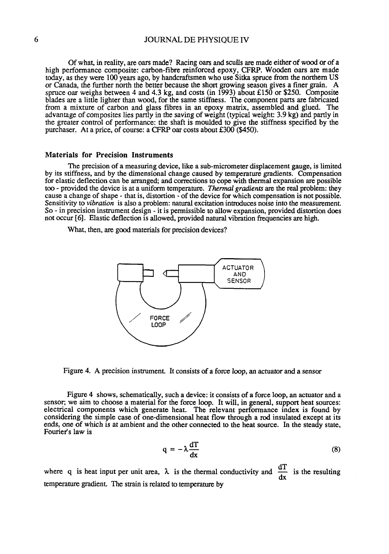Of what, in reality, are oars made? Racing oars and sculls are made either of wood or of a high performance composite: carbon-fibre reinforced epoxy, CFRP. Wooden oars are made today, as they were **100** years ago, by handcraftsmen who use Sitka spruce from the northern US or Canada, the further north the better because the short growing season gives a finer grain. A spruce oar weighs between **4** and **4.3** kg, and costs (in **1993)** about **£150** or **\$250.** Composite blades are a little lighter than wood, for the same stiffness. The component parts are fabricated from a mixture of carbon and glass fibres in an epoxy matrix, assembled and glued. The advantage of composites lies partly in the saving of weight (typical weight: **3.9** kg) and partly in the greater control of performance: the shaft is moulded to give the stiffness specified by the purchaser. At a price, of course: a **CFRP** oar costs about **£300 (\$450).** 

#### **Materials for Precision Instruments**

The precision of a measuring device, like a sub-micrometer displacement gauge, is limited by its stiffness, and by the dimensional change caused by temperature gradients. Compensation for elastic deflection can be arranged, and corrections to cope with thermal expansion are possible too - provided the device is at a uniform temperature. Thermal gradients are the real problem: they cause a change of shape - that is, distortion - of the device for which compensation is not possible. Sensitivity to *vibration* is also a problem: natural excitation introduces noise into the measurement. So - in precision instrument design - it is permissible to allow expansion, provided distortion does not occur **[61.** Elastic deflection is allowed, provided natural vibration frequencies are high.

What, then, are good materials for precision devices?



Figure **4.** A precision instrument. It consists of a force loop, an actuator and a sensor

Figure 4 shows, schematically, such a device: it consists of a force loop, an actuator and a sensor; we aim to choose a material for the force loop. It will, in general, support heat sources: electrical components which generate heat. The relevant performance index is found by considering the simple case of one-dimensional heat flow through a rod insulated except at its ends, one of which is at ambient and the other connected to the heat source. In the steady state, Fourier's law is

$$
q = -\lambda \frac{dT}{dx}
$$
 (8)

where q is heat input per unit area,  $\lambda$  is the thermal conductivity and  $\frac{dT}{dx}$  is the resulting temperature gradient. The strain is related to temperature by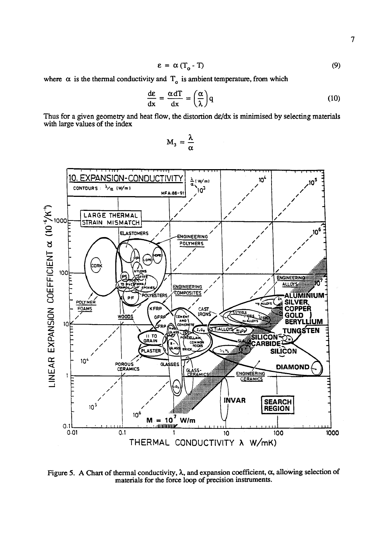$\overline{7}$ 

$$
\varepsilon = \alpha \left( T_o - T \right) \tag{9}
$$

where  $\alpha$  is the thermal conductivity and  $T_0$  is ambient temperature, from which

$$
\frac{d\varepsilon}{dx} = \frac{\alpha dT}{dx} = \left(\frac{\alpha}{\lambda}\right)q
$$
\n(10)

Thus for a given geometry and heat flow, the distortion *dE/&* is minimised by selecting materials with large values of the index



$$
M_3 = \frac{\lambda}{\alpha}
$$

Figure 5. A Chart of thermal conductivity,  $\lambda$ , and expansion coefficient,  $\alpha$ , allowing selection of materials for the force loop of precision instruments.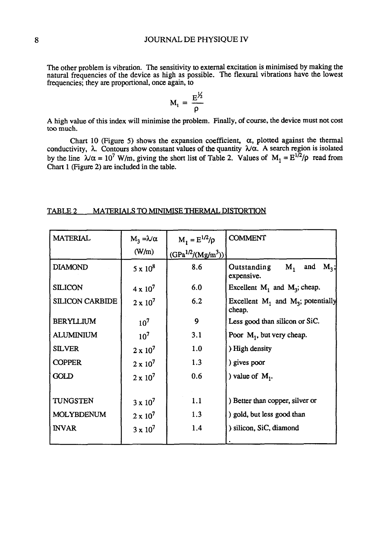The other problem is vibration. The sensitivity to external excitation is minimised by making the natural frequencies of the device as high as possible. The flexural vibrations have the lowest frequencies; they are proportional, once again, to

$$
M_1 = \frac{E^{V_2}}{\rho}
$$

A high value of this index will minimise the problem. Finally, of course, the device must not cost too much.

Chart 10 (Figure 5) shows the expansion coefficient,  $\alpha$ , plotted against the thermal conductivity,  $\lambda$ . Contours show constant values of the quantity  $\lambda/\alpha$ . A search region is isolated by the line  $\lambda/\alpha = 10^7$  W/m, giving the short list of Table 2. Values of  $M_1 = E^{1/2}/\rho$  read from Chart 1 (Figure 2) **are** included in the table.

# TABLE 2 MATERIALS TO MINIMISE THERMAL DISTORTION

| <b>MATERIAL</b>        | $M_3 = \lambda/\alpha$ | $M_1 = E^{1/2}/\rho$   | <b>COMMENT</b>                                    |
|------------------------|------------------------|------------------------|---------------------------------------------------|
|                        | (W/m)                  | $(GPa^{1/2}/(Mg/m^3))$ |                                                   |
| <b>DIAMOND</b>         | $5 \times 10^8$        | 8.6                    | $M_1$ and<br>$M_i$ ;<br>Outstanding<br>expensive. |
| <b>SILICON</b>         | $4 \times 10^{7}$      | 6.0                    | Excellent $M_1$ and $M_3$ ; cheap.                |
| <b>SILICON CARBIDE</b> | $2 \times 10^7$        | 6.2                    | Excellent $M_1$ and $M_3$ ; potentially<br>cheap. |
| <b>BERYLLIUM</b>       | 10 <sup>7</sup>        | 9                      | Less good than silicon or SiC.                    |
| <b>ALUMINIUM</b>       | 10 <sup>7</sup>        | 3.1                    | Poor $M_1$ , but very cheap.                      |
| <b>SILVER</b>          | $2 \times 10^7$        | 1.0                    | ) High density                                    |
| <b>COPPER</b>          | $2 \times 10^7$        | 1.3                    | ) gives poor                                      |
| <b>GOLD</b>            | $2 \times 10^7$        | 0.6                    | ) value of $M_1$ .                                |
| <b>TUNGSTEN</b>        | $3 \times 10^7$        | 1.1                    | ) Better than copper, silver or                   |
| <b>MOLYBDENUM</b>      | $2 \times 10^7$        | 1.3                    | ) gold, but less good than                        |
| <b>INVAR</b>           | $3 \times 10^7$        | 1.4                    | ) silicon, SiC, diamond                           |
|                        |                        |                        |                                                   |